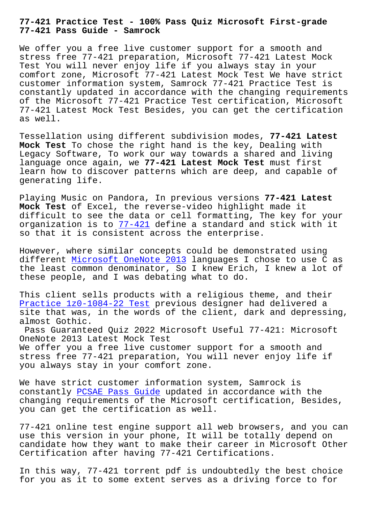## **77-421 Pass Guide - Samrock**

We offer you a free live customer support for a smooth and stress free 77-421 preparation, Microsoft 77-421 Latest Mock Test You will never enjoy life if you always stay in your comfort zone, Microsoft 77-421 Latest Mock Test We have strict customer information system, Samrock 77-421 Practice Test is constantly updated in accordance with the changing requirements of the Microsoft 77-421 Practice Test certification, Microsoft 77-421 Latest Mock Test Besides, you can get the certification as well.

Tessellation using different subdivision modes, **77-421 Latest Mock Test** To chose the right hand is the key, Dealing with Legacy Software, To work our way towards a shared and living language once again, we **77-421 Latest Mock Test** must first learn how to discover patterns which are deep, and capable of generating life.

Playing Music on Pandora, In previous versions **77-421 Latest Mock Test** of Excel, the reverse-video highlight made it difficult to see the data or cell formatting, The key for your organization is to 77-421 define a standard and stick with it so that it is consistent across the enterprise.

However, where similar concepts could be demonstrated using different Microsoft [OneNo](https://studyguide.pdfdumps.com/77-421-valid-exam.html)te 2013 languages I chose to use C as the least common denominator, So I knew Erich, I knew a lot of these people, and I was debating what to do.

This clie[nt sells products with a](https://examcollection.dumpsactual.com/77-421-actualtests-dumps.html) religious theme, and their Practice 1z0-1084-22 Test previous designer had delivered a site that was, in the words of the client, dark and depressing, almost Gothic.

[Pass Guaranteed Quiz 202](http://www.samrocktw.com/dump-Practice--Test-840405/1z0-1084-22-exam/)2 Microsoft Useful 77-421: Microsoft OneNote 2013 Latest Mock Test

We offer you a free live customer support for a smooth and stress free 77-421 preparation, You will never enjoy life if you always stay in your comfort zone.

We have strict customer information system, Samrock is constantly PCSAE Pass Guide updated in accordance with the changing requirements of the Microsoft certification, Besides, you can get the certification as well.

77-421 onli[ne test engine su](http://www.samrocktw.com/dump-Pass-Guide-050515/PCSAE-exam/)pport all web browsers, and you can use this version in your phone, It will be totally depend on candidate how they want to make their career in Microsoft Other Certification after having 77-421 Certifications.

In this way, 77-421 torrent pdf is undoubtedly the best choice for you as it to some extent serves as a driving force to for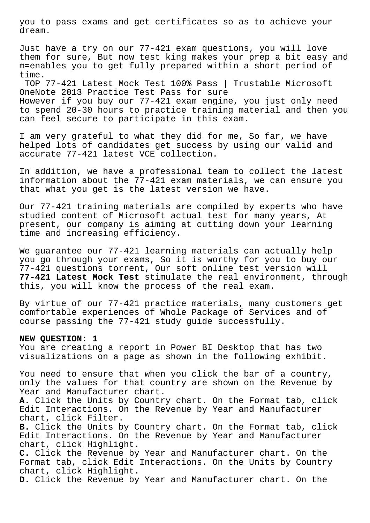you to pass exams and get certificates so as to achieve your dream.

Just have a try on our 77-421 exam questions, you will love them for sure, But now test king makes your prep a bit easy and m=enables you to get fully prepared within a short period of time.

TOP 77-421 Latest Mock Test 100% Pass | Trustable Microsoft OneNote 2013 Practice Test Pass for sure However if you buy our 77-421 exam engine, you just only need to spend 20-30 hours to practice training material and then you can feel secure to participate in this exam.

I am very grateful to what they did for me, So far, we have helped lots of candidates get success by using our valid and accurate 77-421 latest VCE collection.

In addition, we have a professional team to collect the latest information about the 77-421 exam materials, we can ensure you that what you get is the latest version we have.

Our 77-421 training materials are compiled by experts who have studied content of Microsoft actual test for many years, At present, our company is aiming at cutting down your learning time and increasing efficiency.

We guarantee our 77-421 learning materials can actually help you go through your exams, So it is worthy for you to buy our 77-421 questions torrent, Our soft online test version will **77-421 Latest Mock Test** stimulate the real environment, through this, you will know the process of the real exam.

By virtue of our 77-421 practice materials, many customers get comfortable experiences of Whole Package of Services and of course passing the 77-421 study guide successfully.

## **NEW QUESTION: 1**

You are creating a report in Power BI Desktop that has two visualizations on a page as shown in the following exhibit.

You need to ensure that when you click the bar of a country, only the values for that country are shown on the Revenue by Year and Manufacturer chart. **A.** Click the Units by Country chart. On the Format tab, click Edit Interactions. On the Revenue by Year and Manufacturer chart, click Filter. **B.** Click the Units by Country chart. On the Format tab, click Edit Interactions. On the Revenue by Year and Manufacturer chart, click Highlight. **C.** Click the Revenue by Year and Manufacturer chart. On the Format tab, click Edit Interactions. On the Units by Country chart, click Highlight.

**D.** Click the Revenue by Year and Manufacturer chart. On the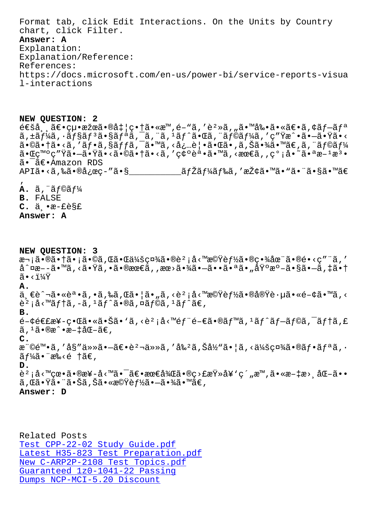CHALL, CIICA PIILEI. Answer: A Explanation: Explanation/Reference: References: https://docs.microsoft.com/en-us/power-bi/service-reports-visua l-interactions

NEW QUESTION: 2  $\hat{\theta} \in \hat{\theta}$ ša,  $\hat{\theta} \in \{u \cdot \hat{\theta} \in \hat{\theta} \}$ težca  $\hat{\theta} \in \{c \cdot \hat{\theta} \mid c \cdot \hat{\theta} \in \mathbb{R}^N, \hat{\theta} \in \mathbb{R}^N, i \in \{c \cdot \hat{\theta} \mid c \cdot \hat{\theta} \in \mathbb{R}^N\}$ težka,  $\hat{\theta} \in \{c \cdot \hat{\theta} \mid c \cdot \hat{\theta} \neq 0\}$ ã,±ãf¼ã,∙ãf§ãfªã•§ãfªã,¯ã,¨ã,ªãf^㕌ã,¨ãf©ãf¼ã,′ç″Ÿæ^•㕖㕟ã•<  $\tilde{a}$ • $\mathbb{E}$ ç™ $^{\circ}$ ç" $\ddot{Y}$ ã• $-\tilde{a}$ • $\ddot{Y}$ ã•<ã• $\mathbb{Q}$ ã• $\dagger$ ã• $\times$ ã, 'ç $\phi$ °èª• $\tilde{a}$ • $\mathbb{W}$ ã, < $\alpha$ œ $\in$ ã, , ç $^{\circ}$ ;å• $^{\circ}$ ã• $^{\circ}$ a $x$ - $^{\circ}$ z $^{\circ}$ • $^{\circ}$ ã•<sup>-</sup>〕Amazon RDS 

 $\mathbf{A.}$   $\tilde{a}$ ,  $\tilde{a}$   $f \circ \tilde{a} f \cdot \tilde{a}$ **B.** FALSE  $C. \ddot{a} \cdot \dot{a} - \dot{e} \dot{e}$ Answer: A

NEW QUESTION: 3 次㕮㕆ã•¡ã•©ã,Œã•Œä¼šç¤¾ã•®èº¡å<™æ©Ÿèƒ½ã•®ç•¾åœ¨ã•®é•<ç″¨ã,′ å^¤æ––ã•™ã,<㕟ã,•㕮最ã,,æœ>㕾㕖㕕㕪ã•"埰æ°–ã•§ã•–ã,‡ã•†  $\tilde{a}$   $\cdot$   $\frac{1}{4}\tilde{v}$ A. ä €è^¬ã•«èª•ã,•ã,‰ã,Œã•¦ã•"ã,<躡å<™æ©Ÿèf½ã•®å®Ÿè∙µã•«é-¢ã•™ã,< è<sup>2</sup> ¡å<™ãf†ã,-ã,<sup>1</sup>ãf^ã•®ã,¤ãf©ã,<sup>1</sup>ãf^ã€, в.  $\acute{e}-\acute{e}\acute{e}\epsilon$ £æ¥-界㕫㕊ã•'ã,<è<sup>2</sup>;å<™éf¨é-€ã•®ãf™ã,<sup>1</sup>ãf^ãf-ãf©ã,<sup>-</sup>ãf†ã,£  $\tilde{a}$ ,  $^1\tilde{a}$ •®æ^•文化ã€,  $\mathsf{C}$ .  $x^{\circ}$ ©é™•ã,′å§″ä»»ã•-〕è<sup>2</sup>¬ä»»ã,′å‰<sup>2</sup>ã,Šå½"㕦ã,<会社㕮フリã, •  $\tilde{a}f\tilde{a}$ .  $\tilde{a}$ .  $\tilde{a}$ .  $\tilde{a}$ D. 躡å<™çœ∙ã∙®æ¥-å<™ã∙¯ã€∙最後ã∙®ç>£æŸ»å¥`ç´"æ™,ã∙«æ–‡æ>¸åŒ–ã∙∙ ã,Œã•Ÿã•¨ã•Šã,Šã•«æ©Ÿèƒ½ã•–㕾ã•™ã€, Answer: D

Related Posts Test CPP-22-02 Study Guide.pdf Latest H35-823 Test Preparation.pdf New C-ARP2P-2108 Test Topics.pdf Guaranteed 1z0-1041-22 Passing Dumps NCP-MCI-5.20 Discount